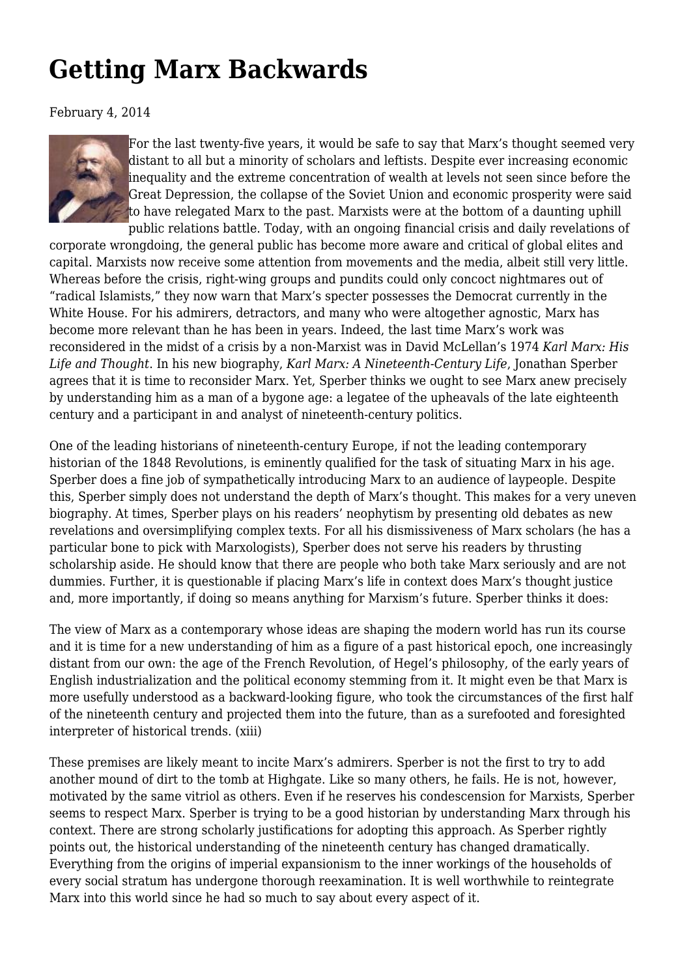## **[Getting Marx Backwards](https://newpol.org/review/getting-marx-backwards/)**

February 4, 2014



For the last twenty-five years, it would be safe to say that Marx's thought seemed very distant to all but a minority of scholars and leftists. Despite ever increasing economic inequality and the extreme concentration of wealth at levels not seen since before the Great Depression, the collapse of the Soviet Union and economic prosperity were said to have relegated Marx to the past. Marxists were at the bottom of a daunting uphill public relations battle. Today, with an ongoing financial crisis and daily revelations of

corporate wrongdoing, the general public has become more aware and critical of global elites and capital. Marxists now receive some attention from movements and the media, albeit still very little. Whereas before the crisis, right-wing groups and pundits could only concoct nightmares out of "radical Islamists," they now warn that Marx's specter possesses the Democrat currently in the White House. For his admirers, detractors, and many who were altogether agnostic, Marx has become more relevant than he has been in years. Indeed, the last time Marx's work was reconsidered in the midst of a crisis by a non-Marxist was in David McLellan's 1974 *Karl Marx: His Life and Thought*. In his new biography, *Karl Marx: A Nineteenth-Century Life*, Jonathan Sperber agrees that it is time to reconsider Marx. Yet, Sperber thinks we ought to see Marx anew precisely by understanding him as a man of a bygone age: a legatee of the upheavals of the late eighteenth century and a participant in and analyst of nineteenth-century politics.

One of the leading historians of nineteenth-century Europe, if not the leading contemporary historian of the 1848 Revolutions, is eminently qualified for the task of situating Marx in his age. Sperber does a fine job of sympathetically introducing Marx to an audience of laypeople. Despite this, Sperber simply does not understand the depth of Marx's thought. This makes for a very uneven biography. At times, Sperber plays on his readers' neophytism by presenting old debates as new revelations and oversimplifying complex texts. For all his dismissiveness of Marx scholars (he has a particular bone to pick with Marxologists), Sperber does not serve his readers by thrusting scholarship aside. He should know that there are people who both take Marx seriously and are not dummies. Further, it is questionable if placing Marx's life in context does Marx's thought justice and, more importantly, if doing so means anything for Marxism's future. Sperber thinks it does:

The view of Marx as a contemporary whose ideas are shaping the modern world has run its course and it is time for a new understanding of him as a figure of a past historical epoch, one increasingly distant from our own: the age of the French Revolution, of Hegel's philosophy, of the early years of English industrialization and the political economy stemming from it. It might even be that Marx is more usefully understood as a backward-looking figure, who took the circumstances of the first half of the nineteenth century and projected them into the future, than as a surefooted and foresighted interpreter of historical trends. (xiii)

These premises are likely meant to incite Marx's admirers. Sperber is not the first to try to add another mound of dirt to the tomb at Highgate. Like so many others, he fails. He is not, however, motivated by the same vitriol as others. Even if he reserves his condescension for Marxists, Sperber seems to respect Marx. Sperber is trying to be a good historian by understanding Marx through his context. There are strong scholarly justifications for adopting this approach. As Sperber rightly points out, the historical understanding of the nineteenth century has changed dramatically. Everything from the origins of imperial expansionism to the inner workings of the households of every social stratum has undergone thorough reexamination. It is well worthwhile to reintegrate Marx into this world since he had so much to say about every aspect of it.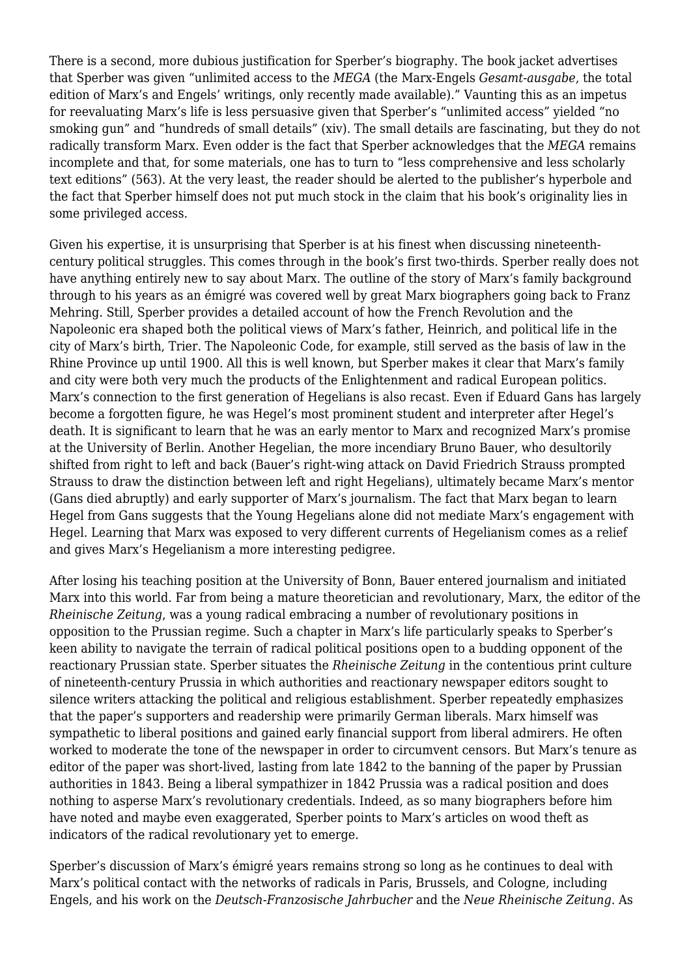There is a second, more dubious justification for Sperber's biography. The book jacket advertises that Sperber was given "unlimited access to the *MEGA* (the Marx-Engels *Gesamt-ausgabe*, the total edition of Marx's and Engels' writings, only recently made available)." Vaunting this as an impetus for reevaluating Marx's life is less persuasive given that Sperber's "unlimited access" yielded "no smoking gun" and "hundreds of small details" (xiv). The small details are fascinating, but they do not radically transform Marx. Even odder is the fact that Sperber acknowledges that the *MEGA* remains incomplete and that, for some materials, one has to turn to "less comprehensive and less scholarly text editions" (563). At the very least, the reader should be alerted to the publisher's hyperbole and the fact that Sperber himself does not put much stock in the claim that his book's originality lies in some privileged access.

Given his expertise, it is unsurprising that Sperber is at his finest when discussing nineteenthcentury political struggles. This comes through in the book's first two-thirds. Sperber really does not have anything entirely new to say about Marx. The outline of the story of Marx's family background through to his years as an émigré was covered well by great Marx biographers going back to Franz Mehring. Still, Sperber provides a detailed account of how the French Revolution and the Napoleonic era shaped both the political views of Marx's father, Heinrich, and political life in the city of Marx's birth, Trier. The Napoleonic Code, for example, still served as the basis of law in the Rhine Province up until 1900. All this is well known, but Sperber makes it clear that Marx's family and city were both very much the products of the Enlightenment and radical European politics. Marx's connection to the first generation of Hegelians is also recast. Even if Eduard Gans has largely become a forgotten figure, he was Hegel's most prominent student and interpreter after Hegel's death. It is significant to learn that he was an early mentor to Marx and recognized Marx's promise at the University of Berlin. Another Hegelian, the more incendiary Bruno Bauer, who desultorily shifted from right to left and back (Bauer's right-wing attack on David Friedrich Strauss prompted Strauss to draw the distinction between left and right Hegelians), ultimately became Marx's mentor (Gans died abruptly) and early supporter of Marx's journalism. The fact that Marx began to learn Hegel from Gans suggests that the Young Hegelians alone did not mediate Marx's engagement with Hegel. Learning that Marx was exposed to very different currents of Hegelianism comes as a relief and gives Marx's Hegelianism a more interesting pedigree.

After losing his teaching position at the University of Bonn, Bauer entered journalism and initiated Marx into this world. Far from being a mature theoretician and revolutionary, Marx, the editor of the *Rheinische Zeitung*, was a young radical embracing a number of revolutionary positions in opposition to the Prussian regime. Such a chapter in Marx's life particularly speaks to Sperber's keen ability to navigate the terrain of radical political positions open to a budding opponent of the reactionary Prussian state. Sperber situates the *Rheinische Zeitung* in the contentious print culture of nineteenth-century Prussia in which authorities and reactionary newspaper editors sought to silence writers attacking the political and religious establishment. Sperber repeatedly emphasizes that the paper's supporters and readership were primarily German liberals. Marx himself was sympathetic to liberal positions and gained early financial support from liberal admirers. He often worked to moderate the tone of the newspaper in order to circumvent censors. But Marx's tenure as editor of the paper was short-lived, lasting from late 1842 to the banning of the paper by Prussian authorities in 1843. Being a liberal sympathizer in 1842 Prussia was a radical position and does nothing to asperse Marx's revolutionary credentials. Indeed, as so many biographers before him have noted and maybe even exaggerated, Sperber points to Marx's articles on wood theft as indicators of the radical revolutionary yet to emerge.

Sperber's discussion of Marx's émigré years remains strong so long as he continues to deal with Marx's political contact with the networks of radicals in Paris, Brussels, and Cologne, including Engels, and his work on the *Deutsch-Franzosische Jahrbucher* and the *Neue Rheinische Zeitung*. As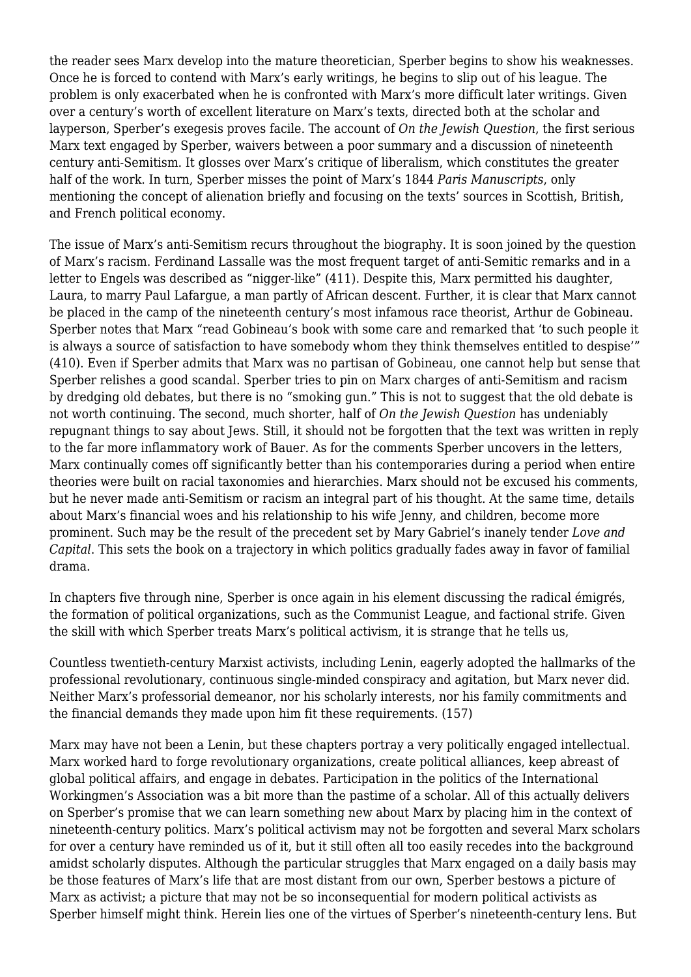the reader sees Marx develop into the mature theoretician, Sperber begins to show his weaknesses. Once he is forced to contend with Marx's early writings, he begins to slip out of his league. The problem is only exacerbated when he is confronted with Marx's more difficult later writings. Given over a century's worth of excellent literature on Marx's texts, directed both at the scholar and layperson, Sperber's exegesis proves facile. The account of *On the Jewish Question*, the first serious Marx text engaged by Sperber, waivers between a poor summary and a discussion of nineteenth century anti-Semitism. It glosses over Marx's critique of liberalism, which constitutes the greater half of the work. In turn, Sperber misses the point of Marx's 1844 *Paris Manuscripts*, only mentioning the concept of alienation briefly and focusing on the texts' sources in Scottish, British, and French political economy.

The issue of Marx's anti-Semitism recurs throughout the biography. It is soon joined by the question of Marx's racism. Ferdinand Lassalle was the most frequent target of anti-Semitic remarks and in a letter to Engels was described as "nigger-like" (411). Despite this, Marx permitted his daughter, Laura, to marry Paul Lafargue, a man partly of African descent. Further, it is clear that Marx cannot be placed in the camp of the nineteenth century's most infamous race theorist, Arthur de Gobineau. Sperber notes that Marx "read Gobineau's book with some care and remarked that 'to such people it is always a source of satisfaction to have somebody whom they think themselves entitled to despise'" (410). Even if Sperber admits that Marx was no partisan of Gobineau, one cannot help but sense that Sperber relishes a good scandal. Sperber tries to pin on Marx charges of anti-Semitism and racism by dredging old debates, but there is no "smoking gun." This is not to suggest that the old debate is not worth continuing. The second, much shorter, half of *On the Jewish Question* has undeniably repugnant things to say about Jews. Still, it should not be forgotten that the text was written in reply to the far more inflammatory work of Bauer. As for the comments Sperber uncovers in the letters, Marx continually comes off significantly better than his contemporaries during a period when entire theories were built on racial taxonomies and hierarchies. Marx should not be excused his comments, but he never made anti-Semitism or racism an integral part of his thought. At the same time, details about Marx's financial woes and his relationship to his wife Jenny, and children, become more prominent. Such may be the result of the precedent set by Mary Gabriel's inanely tender *Love and Capital*. This sets the book on a trajectory in which politics gradually fades away in favor of familial drama.

In chapters five through nine, Sperber is once again in his element discussing the radical émigrés, the formation of political organizations, such as the Communist League, and factional strife. Given the skill with which Sperber treats Marx's political activism, it is strange that he tells us,

Countless twentieth-century Marxist activists, including Lenin, eagerly adopted the hallmarks of the professional revolutionary, continuous single-minded conspiracy and agitation, but Marx never did. Neither Marx's professorial demeanor, nor his scholarly interests, nor his family commitments and the financial demands they made upon him fit these requirements. (157)

Marx may have not been a Lenin, but these chapters portray a very politically engaged intellectual. Marx worked hard to forge revolutionary organizations, create political alliances, keep abreast of global political affairs, and engage in debates. Participation in the politics of the International Workingmen's Association was a bit more than the pastime of a scholar. All of this actually delivers on Sperber's promise that we can learn something new about Marx by placing him in the context of nineteenth-century politics. Marx's political activism may not be forgotten and several Marx scholars for over a century have reminded us of it, but it still often all too easily recedes into the background amidst scholarly disputes. Although the particular struggles that Marx engaged on a daily basis may be those features of Marx's life that are most distant from our own, Sperber bestows a picture of Marx as activist; a picture that may not be so inconsequential for modern political activists as Sperber himself might think. Herein lies one of the virtues of Sperber's nineteenth-century lens. But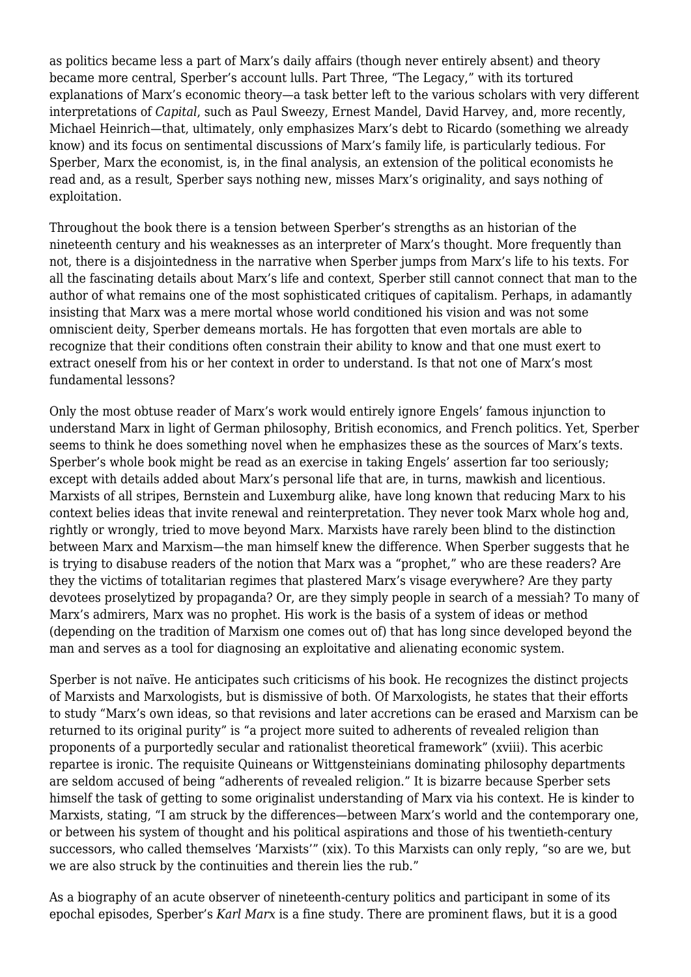as politics became less a part of Marx's daily affairs (though never entirely absent) and theory became more central, Sperber's account lulls. Part Three, "The Legacy," with its tortured explanations of Marx's economic theory—a task better left to the various scholars with very different interpretations of *Capital*, such as Paul Sweezy, Ernest Mandel, David Harvey, and, more recently, Michael Heinrich—that, ultimately, only emphasizes Marx's debt to Ricardo (something we already know) and its focus on sentimental discussions of Marx's family life, is particularly tedious. For Sperber, Marx the economist, is, in the final analysis, an extension of the political economists he read and, as a result, Sperber says nothing new, misses Marx's originality, and says nothing of exploitation.

Throughout the book there is a tension between Sperber's strengths as an historian of the nineteenth century and his weaknesses as an interpreter of Marx's thought. More frequently than not, there is a disjointedness in the narrative when Sperber jumps from Marx's life to his texts. For all the fascinating details about Marx's life and context, Sperber still cannot connect that man to the author of what remains one of the most sophisticated critiques of capitalism. Perhaps, in adamantly insisting that Marx was a mere mortal whose world conditioned his vision and was not some omniscient deity, Sperber demeans mortals. He has forgotten that even mortals are able to recognize that their conditions often constrain their ability to know and that one must exert to extract oneself from his or her context in order to understand. Is that not one of Marx's most fundamental lessons?

Only the most obtuse reader of Marx's work would entirely ignore Engels' famous injunction to understand Marx in light of German philosophy, British economics, and French politics. Yet, Sperber seems to think he does something novel when he emphasizes these as the sources of Marx's texts. Sperber's whole book might be read as an exercise in taking Engels' assertion far too seriously; except with details added about Marx's personal life that are, in turns, mawkish and licentious. Marxists of all stripes, Bernstein and Luxemburg alike, have long known that reducing Marx to his context belies ideas that invite renewal and reinterpretation. They never took Marx whole hog and, rightly or wrongly, tried to move beyond Marx. Marxists have rarely been blind to the distinction between Marx and Marxism—the man himself knew the difference. When Sperber suggests that he is trying to disabuse readers of the notion that Marx was a "prophet," who are these readers? Are they the victims of totalitarian regimes that plastered Marx's visage everywhere? Are they party devotees proselytized by propaganda? Or, are they simply people in search of a messiah? To many of Marx's admirers, Marx was no prophet. His work is the basis of a system of ideas or method (depending on the tradition of Marxism one comes out of) that has long since developed beyond the man and serves as a tool for diagnosing an exploitative and alienating economic system.

Sperber is not naïve. He anticipates such criticisms of his book. He recognizes the distinct projects of Marxists and Marxologists, but is dismissive of both. Of Marxologists, he states that their efforts to study "Marx's own ideas, so that revisions and later accretions can be erased and Marxism can be returned to its original purity" is "a project more suited to adherents of revealed religion than proponents of a purportedly secular and rationalist theoretical framework" (xviii). This acerbic repartee is ironic. The requisite Quineans or Wittgensteinians dominating philosophy departments are seldom accused of being "adherents of revealed religion." It is bizarre because Sperber sets himself the task of getting to some originalist understanding of Marx via his context. He is kinder to Marxists, stating, "I am struck by the differences—between Marx's world and the contemporary one, or between his system of thought and his political aspirations and those of his twentieth-century successors, who called themselves 'Marxists'" (xix). To this Marxists can only reply, "so are we, but we are also struck by the continuities and therein lies the rub."

As a biography of an acute observer of nineteenth-century politics and participant in some of its epochal episodes, Sperber's *Karl Marx* is a fine study. There are prominent flaws, but it is a good